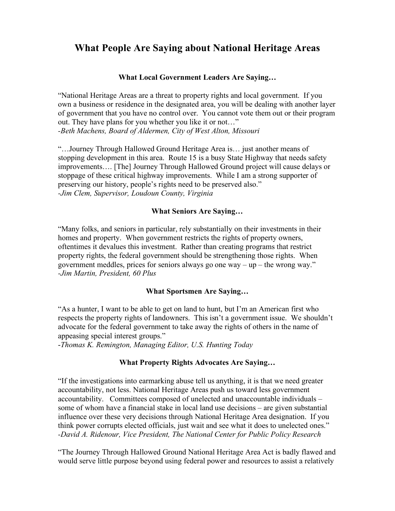# **What People Are Saying about National Heritage Areas**

## **What Local Government Leaders Are Saying…**

"National Heritage Areas are a threat to property rights and local government. If you own a business or residence in the designated area, you will be dealing with another layer of government that you have no control over. You cannot vote them out or their program out. They have plans for you whether you like it or not…" *-Beth Machens, Board of Aldermen, City of West Alton, Missouri*

"…Journey Through Hallowed Ground Heritage Area is… just another means of stopping development in this area. Route 15 is a busy State Highway that needs safety improvements…. [The] Journey Through Hallowed Ground project will cause delays or stoppage of these critical highway improvements. While I am a strong supporter of preserving our history, people's rights need to be preserved also." *-Jim Clem, Supervisor, Loudoun County, Virginia*

## **What Seniors Are Saying…**

"Many folks, and seniors in particular, rely substantially on their investments in their homes and property. When government restricts the rights of property owners, oftentimes it devalues this investment. Rather than creating programs that restrict property rights, the federal government should be strengthening those rights. When government meddles, prices for seniors always go one way – up – the wrong way." *-Jim Martin, President, 60 Plus*

## **What Sportsmen Are Saying…**

"As a hunter, I want to be able to get on land to hunt, but I'm an American first who respects the property rights of landowners. This isn't a government issue. We shouldn't advocate for the federal government to take away the rights of others in the name of appeasing special interest groups."

-*Thomas K. Remington, Managing Editor, U.S. Hunting Today*

## **What Property Rights Advocates Are Saying…**

"If the investigations into earmarking abuse tell us anything, it is that we need greater accountability, not less. National Heritage Areas push us toward less government accountability. Committees composed of unelected and unaccountable individuals – some of whom have a financial stake in local land use decisions – are given substantial influence over these very decisions through National Heritage Area designation. If you think power corrupts elected officials, just wait and see what it does to unelected ones." *-David A. Ridenour, Vice President, The National Center for Public Policy Research* 

"The Journey Through Hallowed Ground National Heritage Area Act is badly flawed and would serve little purpose beyond using federal power and resources to assist a relatively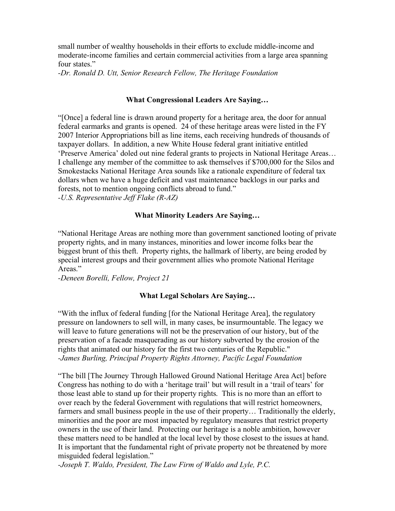small number of wealthy households in their efforts to exclude middle-income and moderate-income families and certain commercial activities from a large area spanning four states."

*-Dr. Ronald D. Utt, Senior Research Fellow, The Heritage Foundation*

#### **What Congressional Leaders Are Saying…**

"[Once] a federal line is drawn around property for a heritage area, the door for annual federal earmarks and grants is opened. 24 of these heritage areas were listed in the FY 2007 Interior Appropriations bill as line items, each receiving hundreds of thousands of taxpayer dollars. In addition, a new White House federal grant initiative entitled 'Preserve America' doled out nine federal grants to projects in National Heritage Areas… I challenge any member of the committee to ask themselves if \$700,000 for the Silos and Smokestacks National Heritage Area sounds like a rationale expenditure of federal tax dollars when we have a huge deficit and vast maintenance backlogs in our parks and forests, not to mention ongoing conflicts abroad to fund." *-U.S. Representative Jeff Flake (R-AZ)*

## **What Minority Leaders Are Saying…**

"National Heritage Areas are nothing more than government sanctioned looting of private property rights, and in many instances, minorities and lower income folks bear the biggest brunt of this theft. Property rights, the hallmark of liberty, are being eroded by special interest groups and their government allies who promote National Heritage Areas."

*-Deneen Borelli, Fellow, Project 21*

#### **What Legal Scholars Are Saying…**

"With the influx of federal funding [for the National Heritage Area], the regulatory pressure on landowners to sell will, in many cases, be insurmountable. The legacy we will leave to future generations will not be the preservation of our history, but of the preservation of a facade masquerading as our history subverted by the erosion of the rights that animated our history for the first two centuries of the Republic." *-James Burling, Principal Property Rights Attorney, Pacific Legal Foundation*

"The bill [The Journey Through Hallowed Ground National Heritage Area Act] before Congress has nothing to do with a 'heritage trail' but will result in a 'trail of tears' for those least able to stand up for their property rights. This is no more than an effort to over reach by the federal Government with regulations that will restrict homeowners, farmers and small business people in the use of their property… Traditionally the elderly, minorities and the poor are most impacted by regulatory measures that restrict property owners in the use of their land. Protecting our heritage is a noble ambition, however these matters need to be handled at the local level by those closest to the issues at hand. It is important that the fundamental right of private property not be threatened by more misguided federal legislation."

*-Joseph T. Waldo, President, The Law Firm of Waldo and Lyle, P.C.*